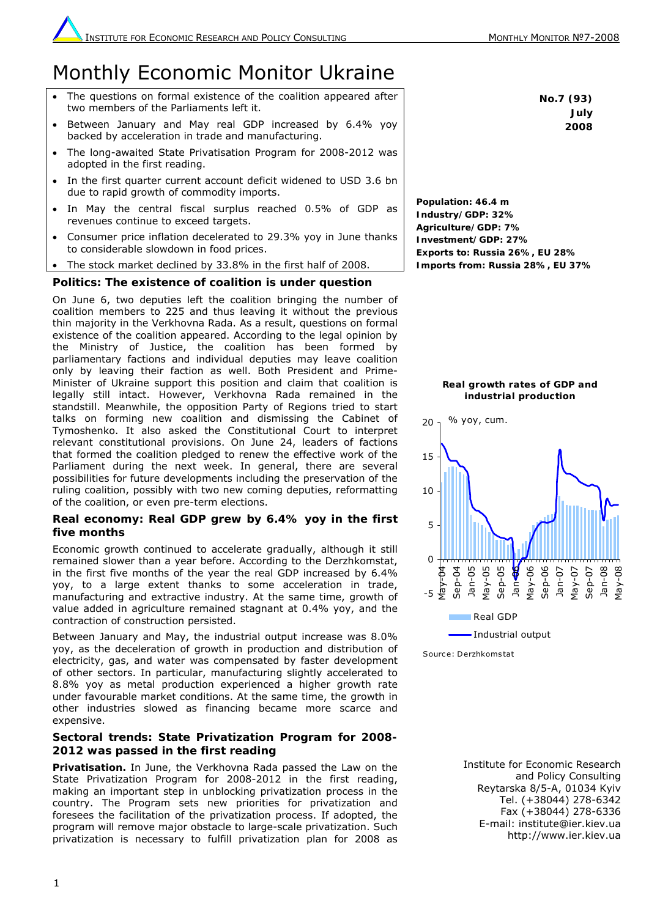# Monthly Economic Monitor Ukraine

- The questions on formal existence of the coalition appeared after two members of the Parliaments left it.
- Between January and May real GDP increased by 6.4% yoy backed by acceleration in trade and manufacturing.
- The long-awaited State Privatisation Program for 2008-2012 was adopted in the first reading.
- In the first quarter current account deficit widened to USD 3.6 bn due to rapid growth of commodity imports.
- In May the central fiscal surplus reached 0.5% of GDP as revenues continue to exceed targets.
- Consumer price inflation decelerated to 29.3% yoy in June thanks to considerable slowdown in food prices.
- The stock market declined by 33.8% in the first half of 2008.

# **Politics: The existence of coalition is under question**

On June 6, two deputies left the coalition bringing the number of coalition members to 225 and thus leaving it without the previous thin majority in the Verkhovna Rada. As a result, questions on formal existence of the coalition appeared. According to the legal opinion by the Ministry of Justice, the coalition has been formed by parliamentary factions and individual deputies may leave coalition only by leaving their faction as well. Both President and Prime-Minister of Ukraine support this position and claim that coalition is legally still intact. However, Verkhovna Rada remained in the standstill. Meanwhile, the opposition Party of Regions tried to start talks on forming new coalition and dismissing the Cabinet of Tymoshenko. It also asked the Constitutional Court to interpret relevant constitutional provisions. On June 24, leaders of factions that formed the coalition pledged to renew the effective work of the Parliament during the next week. In general, there are several possibilities for future developments including the preservation of the ruling coalition, possibly with two new coming deputies, reformatting of the coalition, or even pre-term elections.

### **Real economy: Real GDP grew by 6.4% yoy in the first five months**

Economic growth continued to accelerate gradually, although it still remained slower than a year before. According to the Derzhkomstat, in the first five months of the year the real GDP increased by 6.4% yoy, to a large extent thanks to some acceleration in trade, manufacturing and extractive industry. At the same time, growth of value added in agriculture remained stagnant at 0.4% yoy, and the contraction of construction persisted.

Between January and May, the industrial output increase was 8.0% yoy, as the deceleration of growth in production and distribution of electricity, gas, and water was compensated by faster development of other sectors. In particular, manufacturing slightly accelerated to 8.8% yoy as metal production experienced a higher growth rate under favourable market conditions. At the same time, the growth in other industries slowed as financing became more scarce and expensive.

## **Sectoral trends: State Privatization Program for 2008- 2012 was passed in the first reading**

*Privatisation.* In June, the Verkhovna Rada passed the Law on the State Privatization Program for 2008-2012 in the first reading, making an important step in unblocking privatization process in the country. The Program sets new priorities for privatization and foresees the facilitation of the privatization process. If adopted, the program will remove major obstacle to large-scale privatization. Such privatization is necessary to fulfill privatization plan for 2008 as

**No.7 (93) July 2008** 

**Population: 46.4 m Industry/GDP: 32% Agriculture/GDP: 7% Investment/GDP: 27% Exports to: Russia 26%, EU 28% Imports from: Russia 28%, EU 37%**





Sourc e: Derzhkoms tat

Institute for Economic Research and Policy Consulting Reytarska 8/5-A, 01034 Kyiv Tel. (+38044) 278-6342 Fax (+38044) 278-6336 E-mail: institute@ier.kiev.ua http://www.ier.kiev.ua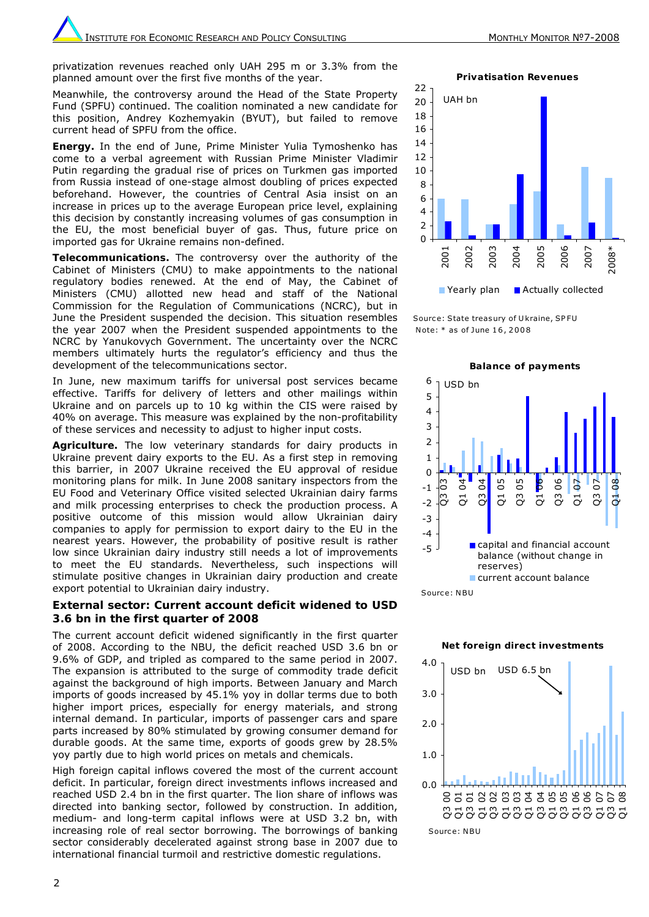privatization revenues reached only UAH 295 m or 3.3% from the planned amount over the first five months of the year.

Meanwhile, the controversy around the Head of the State Property Fund (SPFU) continued. The coalition nominated a new candidate for this position, Andrey Kozhemyakin (BYUT), but failed to remove current head of SPFU from the office.

*Energy.* In the end of June, Prime Minister Yulia Tymoshenko has come to a verbal agreement with Russian Prime Minister Vladimir Putin regarding the gradual rise of prices on Turkmen gas imported from Russia instead of one-stage almost doubling of prices expected beforehand. However, the countries of Central Asia insist on an increase in prices up to the average European price level, explaining this decision by constantly increasing volumes of gas consumption in the EU, the most beneficial buyer of gas. Thus, future price on imported gas for Ukraine remains non-defined.

*Telecommunications***.** The controversy over the authority of the Cabinet of Ministers (CMU) to make appointments to the national regulatory bodies renewed. At the end of May, the Cabinet of Ministers (CMU) allotted new head and staff of the National Commission for the Regulation of Communications (NCRC), but in June the President suspended the decision. This situation resembles the year 2007 when the President suspended appointments to the NCRC by Yanukovych Government. The uncertainty over the NCRC members ultimately hurts the regulator's efficiency and thus the development of the telecommunications sector.

In June, new maximum tariffs for universal post services became effective. Tariffs for delivery of letters and other mailings within Ukraine and on parcels up to 10 kg within the CIS were raised by 40% on average. This measure was explained by the non-profitability of these services and necessity to adjust to higher input costs.

Agriculture. The low veterinary standards for dairy products in Ukraine prevent dairy exports to the EU. As a first step in removing this barrier, in 2007 Ukraine received the EU approval of residue monitoring plans for milk. In June 2008 sanitary inspectors from the EU Food and Veterinary Office visited selected Ukrainian dairy farms and milk processing enterprises to check the production process. A positive outcome of this mission would allow Ukrainian dairy companies to apply for permission to export dairy to the EU in the nearest years. However, the probability of positive result is rather low since Ukrainian dairy industry still needs a lot of improvements to meet the EU standards. Nevertheless, such inspections will stimulate positive changes in Ukrainian dairy production and create export potential to Ukrainian dairy industry.

#### **External sector: Current account deficit widened to USD 3.6 bn in the first quarter of 2008**

The current account deficit widened significantly in the first quarter of 2008. According to the NBU, the deficit reached USD 3.6 bn or 9.6% of GDP, and tripled as compared to the same period in 2007. The expansion is attributed to the surge of commodity trade deficit against the background of high imports. Between January and March imports of goods increased by 45.1% yoy in dollar terms due to both higher import prices, especially for energy materials, and strong internal demand. In particular, imports of passenger cars and spare parts increased by 80% stimulated by growing consumer demand for durable goods. At the same time, exports of goods grew by 28.5% yoy partly due to high world prices on metals and chemicals.

High foreign capital inflows covered the most of the current account deficit. In particular, foreign direct investments inflows increased and reached USD 2.4 bn in the first quarter. The lion share of inflows was directed into banking sector, followed by construction. In addition, medium- and long-term capital inflows were at USD 3.2 bn, with increasing role of real sector borrowing. The borrowings of banking sector considerably decelerated against strong base in 2007 due to international financial turmoil and restrictive domestic regulations.

**Privatisation Revenues**



Sourc e: State treas ury of U kraine, SP FU N ote: \* as of June 1 6 , 2 0 0 8





**Net foreign direct investments**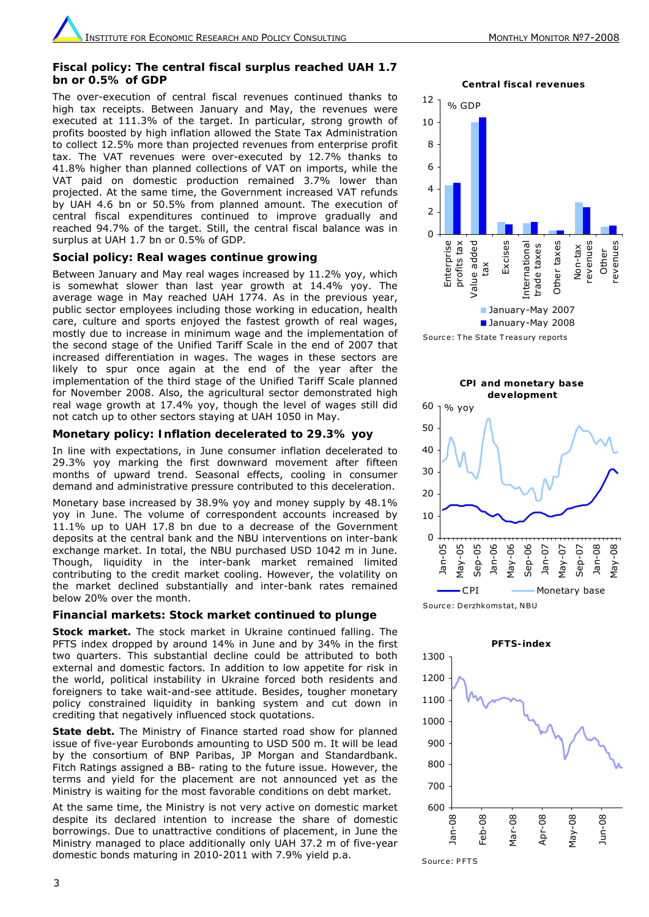#### **Fiscal policy: The central fiscal surplus reached UAH 1.7 bn or 0.5% of GDP**

The over-execution of central fiscal revenues continued thanks to high tax receipts. Between January and May, the revenues were executed at 111.3% of the target. In particular, strong growth of profits boosted by high inflation allowed the State Tax Administration to collect 12.5% more than projected revenues from enterprise profit tax. The VAT revenues were over-executed by 12.7% thanks to 41.8% higher than planned collections of VAT on imports, while the VAT paid on domestic production remained 3.7% lower than projected. At the same time, the Government increased VAT refunds by UAH 4.6 bn or 50.5% from planned amount. The execution of central fiscal expenditures continued to improve gradually and reached 94.7% of the target. Still, the central fiscal balance was in surplus at UAH 1.7 bn or 0.5% of GDP.

#### **Social policy: Real wages continue growing**

Between January and May real wages increased by 11.2% yoy, which is somewhat slower than last year growth at 14.4% yoy. The average wage in May reached UAH 1774. As in the previous year, public sector employees including those working in education, health care, culture and sports enjoyed the fastest growth of real wages, mostly due to increase in minimum wage and the implementation of the second stage of the Unified Tariff Scale in the end of 2007 that increased differentiation in wages. The wages in these sectors are likely to spur once again at the end of the year after the implementation of the third stage of the Unified Tariff Scale planned for November 2008. Also, the agricultural sector demonstrated high real wage growth at 17.4% yoy, though the level of wages still did not catch up to other sectors staying at UAH 1050 in May.

#### **Monetary policy: Inflation decelerated to 29.3% yoy**

In line with expectations, in June consumer inflation decelerated to 29.3% yoy marking the first downward movement after fifteen months of upward trend. Seasonal effects, cooling in consumer demand and administrative pressure contributed to this deceleration.

Monetary base increased by 38.9% yoy and money supply by 48.1% yoy in June. The volume of correspondent accounts increased by 11.1% up to UAH 17.8 bn due to a decrease of the Government deposits at the central bank and the NBU interventions on inter-bank exchange market. In total, the NBU purchased USD 1042 m in June. Though, liquidity in the inter-bank market remained limited contributing to the credit market cooling. However, the volatility on the market declined substantially and inter-bank rates remained below 20% over the month.

#### **Financial markets: Stock market continued to plunge**

*Stock market.* The stock market in Ukraine continued falling. The PFTS index dropped by around 14% in June and by 34% in the first two quarters. This substantial decline could be attributed to both external and domestic factors. In addition to low appetite for risk in the world, political instability in Ukraine forced both residents and foreigners to take wait-and-see attitude. Besides, tougher monetary policy constrained liquidity in banking system and cut down in crediting that negatively influenced stock quotations.

**State debt.** The Ministry of Finance started road show for planned issue of five-year Eurobonds amounting to USD 500 m. It will be lead by the consortium of BNP Paribas, JP Morgan and Standardbank. Fitch Ratings assigned a BB- rating to the future issue. However, the terms and yield for the placement are not announced yet as the Ministry is waiting for the most favorable conditions on debt market.

At the same time, the Ministry is not very active on domestic market despite its declared intention to increase the share of domestic borrowings. Due to unattractive conditions of placement, in June the Ministry managed to place additionally only UAH 37.2 m of five-year domestic bonds maturing in 2010-2011 with 7.9% yield p.a.

**Central fiscal revenues**











Source: PFTS